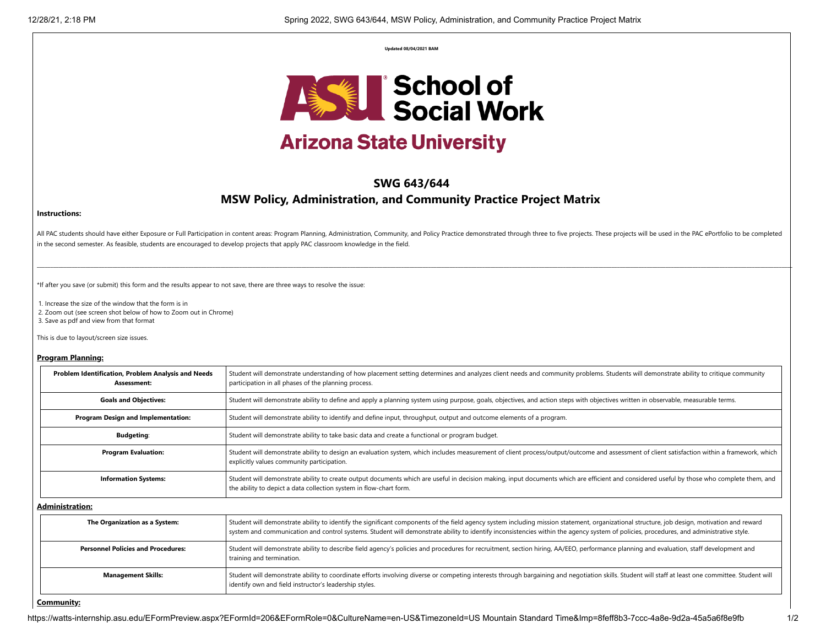**Updated 08/04/2021 BAM**



# **Arizona State University**

# **SWG 643/644**

# **MSW Policy, Administration, and Community Practice Project Matrix**

#### **Instructions:**

All PAC students should have either Exposure or Full Participation in content areas: Program Planning, Administration, Community, and Policy Practice demonstrated through three to five projects. These projects will be used in the second semester. As feasible, students are encouraged to develop projects that apply PAC classroom knowledge in the field.

\_\_\_\_\_\_\_\_\_\_\_\_\_\_\_\_\_\_\_\_\_\_\_\_\_\_\_\_\_\_\_\_\_\_\_\_\_\_\_\_\_\_\_\_\_\_\_\_\_\_\_\_\_\_\_\_\_\_\_\_\_\_\_\_\_\_\_\_\_\_\_\_\_\_\_\_\_\_\_\_\_\_\_\_\_\_\_\_\_\_\_\_\_\_\_\_\_\_\_\_\_\_\_\_\_\_\_\_\_\_\_\_\_\_\_\_\_\_\_\_\_\_\_\_\_\_\_\_\_\_\_\_\_\_\_\_\_\_\_\_\_\_\_\_\_\_\_\_\_\_\_\_\_\_\_\_\_\_\_\_\_\_\_\_\_\_\_\_\_\_\_\_\_\_\_\_\_\_\_\_\_\_\_\_\_\_\_\_\_\_\_\_\_\_\_\_\_\_\_\_\_\_\_\_\_\_\_\_\_\_\_\_\_\_\_\_\_\_\_\_\_\_\_\_\_\_\_\_\_\_\_\_\_\_\_\_\_\_\_\_\_\_\_\_\_\_\_\_\_\_\_\_\_\_\_\_\_\_\_\_\_\_\_\_\_\_\_\_\_\_\_\_\_\_\_\_\_\_\_\_

\*If after you save (or submit) this form and the results appear to not save, there are three ways to resolve the issue:

1. Increase the size of the window that the form is in

2. Zoom out (see screen shot below of how to Zoom out in Chrome)

3. Save as pdf and view from that format

This is due to layout/screen size issues.

#### **Program Planning:**

| Problem Identification, Problem Analysis and Needs<br>Assessment: | Student will demonstrate understanding of how placement setting determines and analyzes client needs and community problems. Students will demonstrate ability to critique community<br>participation in all phases of the planning process.                                                                                                                                          |
|-------------------------------------------------------------------|---------------------------------------------------------------------------------------------------------------------------------------------------------------------------------------------------------------------------------------------------------------------------------------------------------------------------------------------------------------------------------------|
| <b>Goals and Objectives:</b>                                      | Student will demonstrate ability to define and apply a planning system using purpose, goals, objectives, and action steps with objectives written in observable, measurable terms.                                                                                                                                                                                                    |
| Program Design and Implementation:                                | Student will demonstrate ability to identify and define input, throughput, output and outcome elements of a program.                                                                                                                                                                                                                                                                  |
| <b>Budgeting:</b>                                                 | Student will demonstrate ability to take basic data and create a functional or program budget.                                                                                                                                                                                                                                                                                        |
| <b>Program Evaluation:</b>                                        | Student will demonstrate ability to design an evaluation system, which includes measurement of client process/output/outcome and assessment of client satisfaction within a framework, which<br>explicitly values community participation.                                                                                                                                            |
| <b>Information Systems:</b>                                       | Student will demonstrate ability to create output documents which are useful in decision making, input documents which are efficient and considered useful by those who complete them, and<br>the ability to depict a data collection system in flow-chart form.                                                                                                                      |
| <b>Administration:</b>                                            |                                                                                                                                                                                                                                                                                                                                                                                       |
| The Organization as a System:                                     | Student will demonstrate ability to identify the significant components of the field agency system including mission statement, organizational structure, job design, motivation and reward<br>system and communication and control systems. Student will demonstrate ability to identify inconsistencies within the agency system of policies, procedures, and administrative style. |
| <b>Personnel Policies and Procedures:</b>                         | Student will demonstrate ability to describe field agency's policies and procedures for recruitment, section hiring, AA/EEO, performance planning and evaluation, staff development and<br>training and termination.                                                                                                                                                                  |
| <b>Management Skills:</b>                                         | Student will demonstrate ability to coordinate efforts involving diverse or competing interests through bargaining and negotiation skills. Student will staff at least one committee. Student will<br>identify own and field instructor's leadership styles.                                                                                                                          |

#### **Community:**